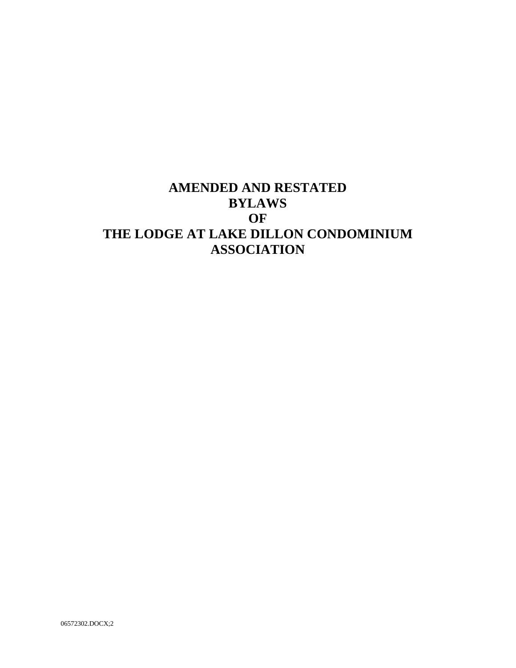# **AMENDED AND RESTATED BYLAWS OF THE LODGE AT LAKE DILLON CONDOMINIUM ASSOCIATION**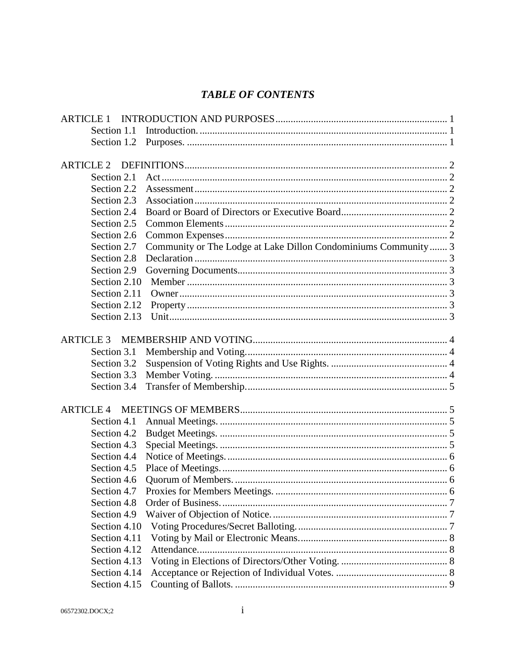# **TABLE OF CONTENTS**

| <b>ARTICLE 1</b> |                                                                |  |
|------------------|----------------------------------------------------------------|--|
| Section 1.1      |                                                                |  |
| Section 1.2      |                                                                |  |
|                  |                                                                |  |
| <b>ARTICLE 2</b> |                                                                |  |
| Section 2.1      |                                                                |  |
| Section 2.2      |                                                                |  |
| Section 2.3      |                                                                |  |
| Section 2.4      |                                                                |  |
| Section 2.5      |                                                                |  |
| Section 2.6      |                                                                |  |
| Section 2.7      | Community or The Lodge at Lake Dillon Condominiums Community 3 |  |
| Section 2.8      |                                                                |  |
| Section 2.9      |                                                                |  |
| Section 2.10     |                                                                |  |
| Section 2.11     |                                                                |  |
| Section 2.12     |                                                                |  |
| Section 2.13     |                                                                |  |
| <b>ARTICLE 3</b> |                                                                |  |
| Section 3.1      |                                                                |  |
| Section 3.2      |                                                                |  |
| Section 3.3      |                                                                |  |
| Section 3.4      |                                                                |  |
|                  |                                                                |  |
| <b>ARTICLE 4</b> |                                                                |  |
| Section 4.1      |                                                                |  |
| Section 4.2      |                                                                |  |
| Section 4.3      |                                                                |  |
| Section 4.4      |                                                                |  |
| Section 4.5      |                                                                |  |
| Section 4.6      |                                                                |  |
| Section 4.7      |                                                                |  |
| Section 4.8      |                                                                |  |
| Section 4.9      |                                                                |  |
| Section 4.10     |                                                                |  |
| Section 4.11     |                                                                |  |
| Section 4.12     |                                                                |  |
| Section 4.13     |                                                                |  |
| Section 4.14     |                                                                |  |
| Section 4.15     |                                                                |  |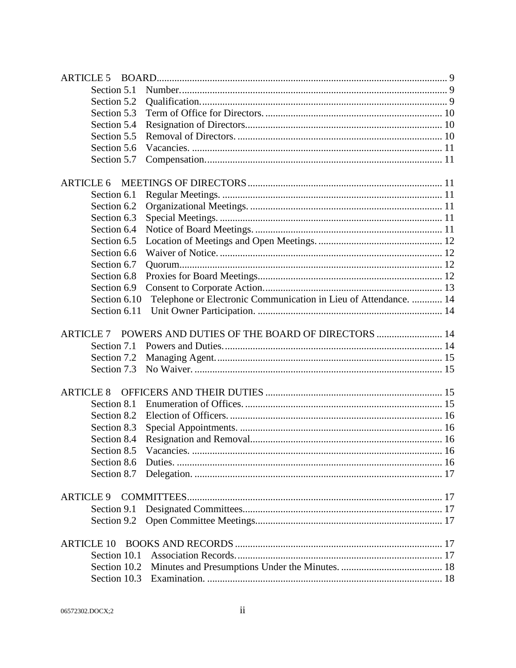| <b>ARTICLE 5</b> |                   |                                                                  |  |
|------------------|-------------------|------------------------------------------------------------------|--|
|                  | Section 5.1       |                                                                  |  |
|                  | Section 5.2       |                                                                  |  |
|                  | Section 5.3       |                                                                  |  |
|                  | Section 5.4       |                                                                  |  |
|                  | Section 5.5       |                                                                  |  |
|                  | Section 5.6       |                                                                  |  |
|                  | Section 5.7       |                                                                  |  |
| <b>ARTICLE 6</b> |                   |                                                                  |  |
|                  | Section 6.1       |                                                                  |  |
|                  | Section 6.2       |                                                                  |  |
|                  | Section 6.3       |                                                                  |  |
|                  | Section 6.4       |                                                                  |  |
|                  | Section 6.5       |                                                                  |  |
|                  | Section 6.6       |                                                                  |  |
|                  | Section 6.7       |                                                                  |  |
|                  | Section 6.8       |                                                                  |  |
|                  | Section 6.9       |                                                                  |  |
|                  | Section 6.10      | Telephone or Electronic Communication in Lieu of Attendance.  14 |  |
|                  | Section 6.11      |                                                                  |  |
| <b>ARTICLE 7</b> |                   | POWERS AND DUTIES OF THE BOARD OF DIRECTORS  14                  |  |
|                  | Section 7.1       |                                                                  |  |
|                  | Section 7.2       |                                                                  |  |
|                  | Section 7.3       |                                                                  |  |
| <b>ARTICLE 8</b> |                   |                                                                  |  |
|                  | Section 8.1       |                                                                  |  |
|                  | Section 8.2       |                                                                  |  |
|                  | Section 8.3       |                                                                  |  |
|                  | Section 8.4       |                                                                  |  |
|                  | Section 8.5       |                                                                  |  |
|                  | Section 8.6       |                                                                  |  |
|                  | Section 8.7       |                                                                  |  |
| <b>ARTICLE 9</b> |                   |                                                                  |  |
|                  | Section 9.1       |                                                                  |  |
|                  | Section 9.2       |                                                                  |  |
|                  | <b>ARTICLE 10</b> |                                                                  |  |
|                  | Section 10.1      |                                                                  |  |
|                  | Section 10.2      |                                                                  |  |
|                  |                   |                                                                  |  |
|                  |                   |                                                                  |  |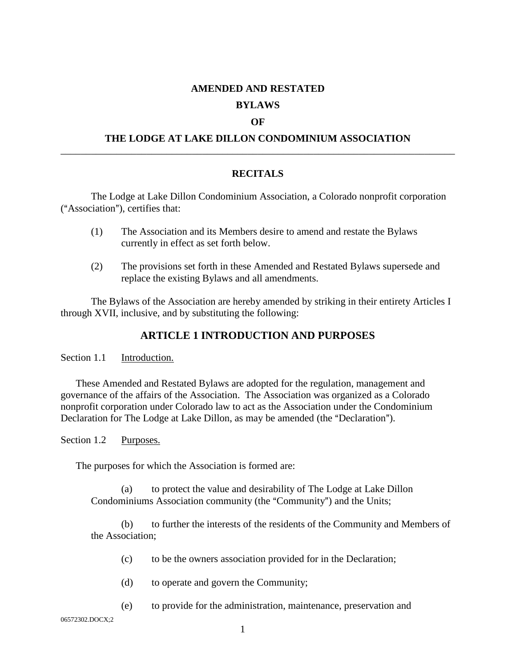#### **AMENDED AND RESTATED**

#### **BYLAWS**

#### **OF**

## **THE LODGE AT LAKE DILLON CONDOMINIUM ASSOCIATION** \_\_\_\_\_\_\_\_\_\_\_\_\_\_\_\_\_\_\_\_\_\_\_\_\_\_\_\_\_\_\_\_\_\_\_\_\_\_\_\_\_\_\_\_\_\_\_\_\_\_\_\_\_\_\_\_\_\_\_\_\_\_\_\_\_\_\_\_\_\_\_\_\_\_\_\_\_\_

#### **RECITALS**

The Lodge at Lake Dillon Condominium Association, a Colorado nonprofit corporation  $(*$ Association"), certifies that:

- (1) The Association and its Members desire to amend and restate the Bylaws currently in effect as set forth below.
- (2) The provisions set forth in these Amended and Restated Bylaws supersede and replace the existing Bylaws and all amendments.

The Bylaws of the Association are hereby amended by striking in their entirety Articles I through XVII, inclusive, and by substituting the following:

# **ARTICLE 1 INTRODUCTION AND PURPOSES**

Section 1.1 Introduction.

These Amended and Restated Bylaws are adopted for the regulation, management and governance of the affairs of the Association. The Association was organized as a Colorado nonprofit corporation under Colorado law to act as the Association under the Condominium Declaration for The Lodge at Lake Dillon, as may be amended (the "Declaration").

Section 1.2 Purposes.

The purposes for which the Association is formed are:

(a) to protect the value and desirability of The Lodge at Lake Dillon Condominiums Association community (the "Community") and the Units;

(b) to further the interests of the residents of the Community and Members of the Association;

- (c) to be the owners association provided for in the Declaration;
- (d) to operate and govern the Community;
- (e) to provide for the administration, maintenance, preservation and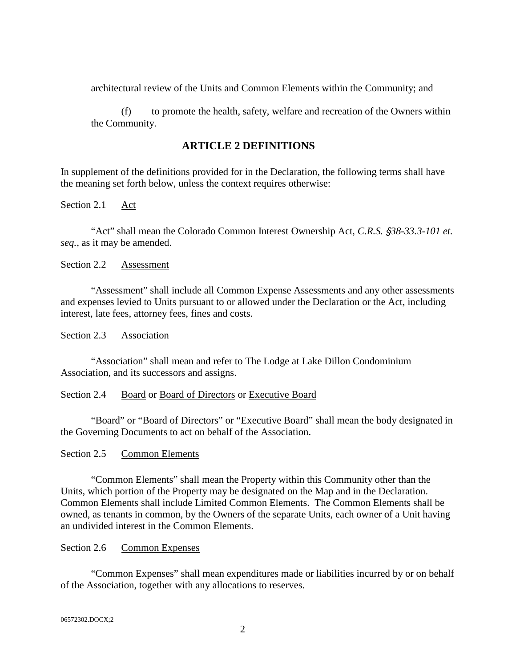architectural review of the Units and Common Elements within the Community; and

(f) to promote the health, safety, welfare and recreation of the Owners within the Community.

## **ARTICLE 2 DEFINITIONS**

In supplement of the definitions provided for in the Declaration, the following terms shall have the meaning set forth below, unless the context requires otherwise:

Section 2.1 Act

"Act" shall mean the Colorado Common Interest Ownership Act, *C.R.S.* '*38-33.3-101 et. seq.*, as it may be amended.

Section 2.2 Assessment

"Assessment" shall include all Common Expense Assessments and any other assessments and expenses levied to Units pursuant to or allowed under the Declaration or the Act, including interest, late fees, attorney fees, fines and costs.

Section 2.3 Association

"Association" shall mean and refer to The Lodge at Lake Dillon Condominium Association, and its successors and assigns.

#### Section 2.4 Board or Board of Directors or Executive Board

"Board" or "Board of Directors" or "Executive Board" shall mean the body designated in the Governing Documents to act on behalf of the Association.

Section 2.5 Common Elements

"Common Elements" shall mean the Property within this Community other than the Units, which portion of the Property may be designated on the Map and in the Declaration. Common Elements shall include Limited Common Elements. The Common Elements shall be owned, as tenants in common, by the Owners of the separate Units, each owner of a Unit having an undivided interest in the Common Elements.

## Section 2.6 Common Expenses

"Common Expenses" shall mean expenditures made or liabilities incurred by or on behalf of the Association, together with any allocations to reserves.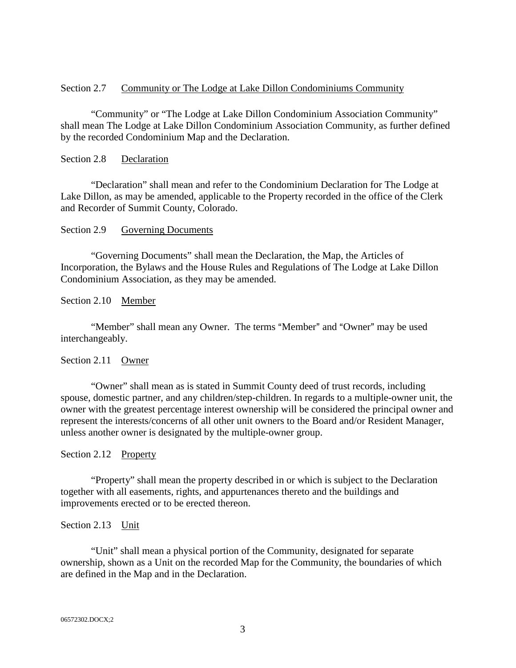#### Section 2.7 Community or The Lodge at Lake Dillon Condominiums Community

"Community" or "The Lodge at Lake Dillon Condominium Association Community" shall mean The Lodge at Lake Dillon Condominium Association Community, as further defined by the recorded Condominium Map and the Declaration.

#### Section 2.8 Declaration

"Declaration" shall mean and refer to the Condominium Declaration for The Lodge at Lake Dillon, as may be amended, applicable to the Property recorded in the office of the Clerk and Recorder of Summit County, Colorado.

#### Section 2.9 Governing Documents

"Governing Documents" shall mean the Declaration, the Map, the Articles of Incorporation, the Bylaws and the House Rules and Regulations of The Lodge at Lake Dillon Condominium Association, as they may be amended.

Section 2.10 Member

"Member" shall mean any Owner. The terms "Member" and "Owner" may be used interchangeably.

## Section 2.11 Owner

"Owner" shall mean as is stated in Summit County deed of trust records, including spouse, domestic partner, and any children/step-children. In regards to a multiple-owner unit, the owner with the greatest percentage interest ownership will be considered the principal owner and represent the interests/concerns of all other unit owners to the Board and/or Resident Manager, unless another owner is designated by the multiple-owner group.

#### Section 2.12 Property

"Property" shall mean the property described in or which is subject to the Declaration together with all easements, rights, and appurtenances thereto and the buildings and improvements erected or to be erected thereon.

#### Section 2.13 Unit

"Unit" shall mean a physical portion of the Community, designated for separate ownership, shown as a Unit on the recorded Map for the Community, the boundaries of which are defined in the Map and in the Declaration.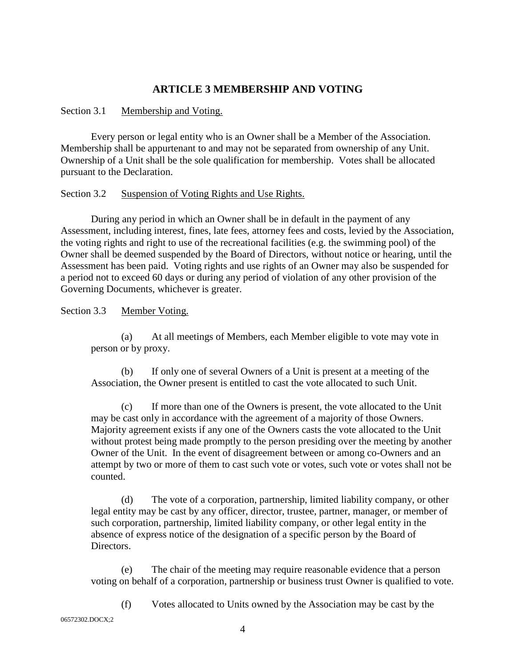# **ARTICLE 3 MEMBERSHIP AND VOTING**

## Section 3.1 Membership and Voting.

Every person or legal entity who is an Owner shall be a Member of the Association. Membership shall be appurtenant to and may not be separated from ownership of any Unit. Ownership of a Unit shall be the sole qualification for membership. Votes shall be allocated pursuant to the Declaration.

#### Section 3.2 Suspension of Voting Rights and Use Rights.

During any period in which an Owner shall be in default in the payment of any Assessment, including interest, fines, late fees, attorney fees and costs, levied by the Association, the voting rights and right to use of the recreational facilities (e.g. the swimming pool) of the Owner shall be deemed suspended by the Board of Directors, without notice or hearing, until the Assessment has been paid. Voting rights and use rights of an Owner may also be suspended for a period not to exceed 60 days or during any period of violation of any other provision of the Governing Documents, whichever is greater.

Section 3.3 Member Voting.

(a) At all meetings of Members, each Member eligible to vote may vote in person or by proxy.

(b) If only one of several Owners of a Unit is present at a meeting of the Association, the Owner present is entitled to cast the vote allocated to such Unit.

If more than one of the Owners is present, the vote allocated to the Unit may be cast only in accordance with the agreement of a majority of those Owners. Majority agreement exists if any one of the Owners casts the vote allocated to the Unit without protest being made promptly to the person presiding over the meeting by another Owner of the Unit. In the event of disagreement between or among co-Owners and an attempt by two or more of them to cast such vote or votes, such vote or votes shall not be counted.

(d) The vote of a corporation, partnership, limited liability company, or other legal entity may be cast by any officer, director, trustee, partner, manager, or member of such corporation, partnership, limited liability company, or other legal entity in the absence of express notice of the designation of a specific person by the Board of Directors.

(e) The chair of the meeting may require reasonable evidence that a person voting on behalf of a corporation, partnership or business trust Owner is qualified to vote.

(f) Votes allocated to Units owned by the Association may be cast by the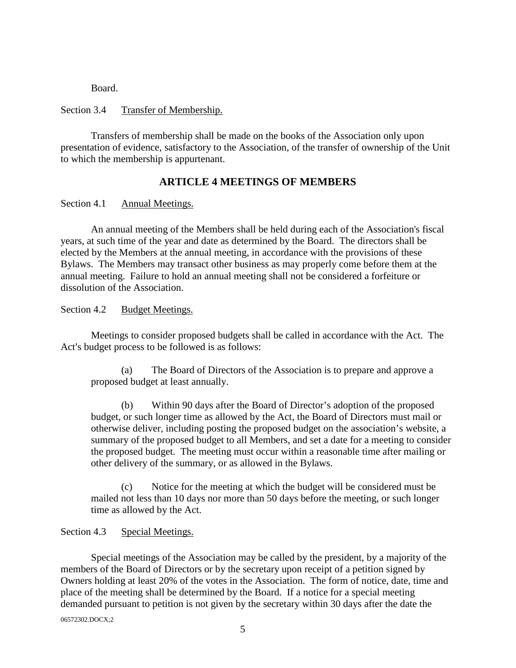Board.

#### Section 3.4 Transfer of Membership.

Transfers of membership shall be made on the books of the Association only upon presentation of evidence, satisfactory to the Association, of the transfer of ownership of the Unit to which the membership is appurtenant.

## **ARTICLE 4 MEETINGS OF MEMBERS**

Section 4.1 Annual Meetings.

An annual meeting of the Members shall be held during each of the Association's fiscal years, at such time of the year and date as determined by the Board. The directors shall be elected by the Members at the annual meeting, in accordance with the provisions of these Bylaws. The Members may transact other business as may properly come before them at the annual meeting. Failure to hold an annual meeting shall not be considered a forfeiture or dissolution of the Association.

Section 4.2 Budget Meetings.

Meetings to consider proposed budgets shall be called in accordance with the Act. The Act's budget process to be followed is as follows:

(a) The Board of Directors of the Association is to prepare and approve a proposed budget at least annually.

(b) Within 90 days after the Board of Director's adoption of the proposed budget, or such longer time as allowed by the Act, the Board of Directors must mail or otherwise deliver, including posting the proposed budget on the association's website, a summary of the proposed budget to all Members, and set a date for a meeting to consider the proposed budget. The meeting must occur within a reasonable time after mailing or other delivery of the summary, or as allowed in the Bylaws.

(c) Notice for the meeting at which the budget will be considered must be mailed not less than 10 days nor more than 50 days before the meeting, or such longer time as allowed by the Act.

#### Section 4.3 Special Meetings.

Special meetings of the Association may be called by the president, by a majority of the members of the Board of Directors or by the secretary upon receipt of a petition signed by Owners holding at least 20% of the votes in the Association. The form of notice, date, time and place of the meeting shall be determined by the Board. If a notice for a special meeting demanded pursuant to petition is not given by the secretary within 30 days after the date the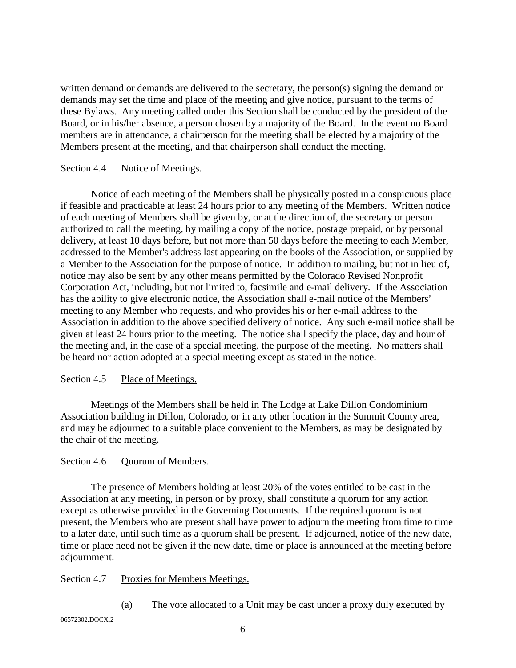written demand or demands are delivered to the secretary, the person(s) signing the demand or demands may set the time and place of the meeting and give notice, pursuant to the terms of these Bylaws. Any meeting called under this Section shall be conducted by the president of the Board, or in his/her absence, a person chosen by a majority of the Board. In the event no Board members are in attendance, a chairperson for the meeting shall be elected by a majority of the Members present at the meeting, and that chairperson shall conduct the meeting.

#### Section 4.4 Notice of Meetings.

Notice of each meeting of the Members shall be physically posted in a conspicuous place if feasible and practicable at least 24 hours prior to any meeting of the Members. Written notice of each meeting of Members shall be given by, or at the direction of, the secretary or person authorized to call the meeting, by mailing a copy of the notice, postage prepaid, or by personal delivery, at least 10 days before, but not more than 50 days before the meeting to each Member, addressed to the Member's address last appearing on the books of the Association, or supplied by a Member to the Association for the purpose of notice. In addition to mailing, but not in lieu of, notice may also be sent by any other means permitted by the Colorado Revised Nonprofit Corporation Act, including, but not limited to, facsimile and e-mail delivery. If the Association has the ability to give electronic notice, the Association shall e-mail notice of the Members' meeting to any Member who requests, and who provides his or her e-mail address to the Association in addition to the above specified delivery of notice. Any such e-mail notice shall be given at least 24 hours prior to the meeting. The notice shall specify the place, day and hour of the meeting and, in the case of a special meeting, the purpose of the meeting. No matters shall be heard nor action adopted at a special meeting except as stated in the notice.

## Section 4.5 Place of Meetings.

Meetings of the Members shall be held in The Lodge at Lake Dillon Condominium Association building in Dillon, Colorado, or in any other location in the Summit County area, and may be adjourned to a suitable place convenient to the Members, as may be designated by the chair of the meeting.

## Section 4.6 Quorum of Members.

The presence of Members holding at least 20% of the votes entitled to be cast in the Association at any meeting, in person or by proxy, shall constitute a quorum for any action except as otherwise provided in the Governing Documents. If the required quorum is not present, the Members who are present shall have power to adjourn the meeting from time to time to a later date, until such time as a quorum shall be present. If adjourned, notice of the new date, time or place need not be given if the new date, time or place is announced at the meeting before adjournment.

## Section 4.7 Proxies for Members Meetings.

(a) The vote allocated to a Unit may be cast under a proxy duly executed by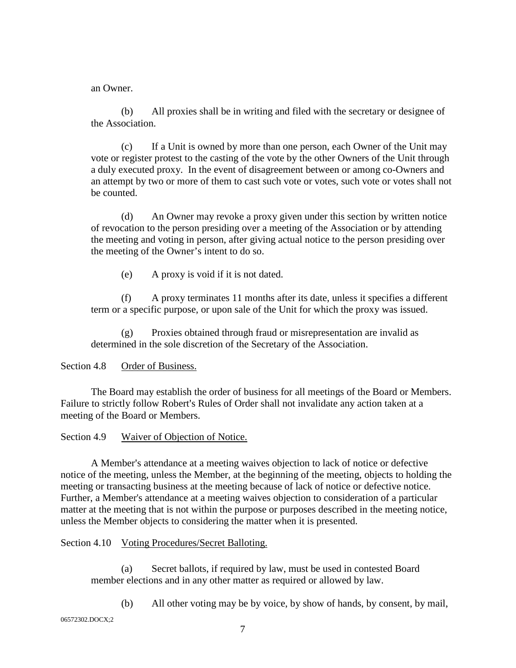an Owner.

(b) All proxies shall be in writing and filed with the secretary or designee of the Association.

(c) If a Unit is owned by more than one person, each Owner of the Unit may vote or register protest to the casting of the vote by the other Owners of the Unit through a duly executed proxy. In the event of disagreement between or among co-Owners and an attempt by two or more of them to cast such vote or votes, such vote or votes shall not be counted.

(d) An Owner may revoke a proxy given under this section by written notice of revocation to the person presiding over a meeting of the Association or by attending the meeting and voting in person, after giving actual notice to the person presiding over the meeting of the Owner's intent to do so.

(e) A proxy is void if it is not dated.

(f) A proxy terminates 11 months after its date, unless it specifies a different term or a specific purpose, or upon sale of the Unit for which the proxy was issued.

(g) Proxies obtained through fraud or misrepresentation are invalid as determined in the sole discretion of the Secretary of the Association.

# Section 4.8 Order of Business.

The Board may establish the order of business for all meetings of the Board or Members. Failure to strictly follow Robert's Rules of Order shall not invalidate any action taken at a meeting of the Board or Members.

Section 4.9 Waiver of Objection of Notice.

A Member's attendance at a meeting waives objection to lack of notice or defective notice of the meeting, unless the Member, at the beginning of the meeting, objects to holding the meeting or transacting business at the meeting because of lack of notice or defective notice. Further, a Member's attendance at a meeting waives objection to consideration of a particular matter at the meeting that is not within the purpose or purposes described in the meeting notice, unless the Member objects to considering the matter when it is presented.

## Section 4.10 Voting Procedures/Secret Balloting.

(a) Secret ballots, if required by law, must be used in contested Board member elections and in any other matter as required or allowed by law.

(b) All other voting may be by voice, by show of hands, by consent, by mail,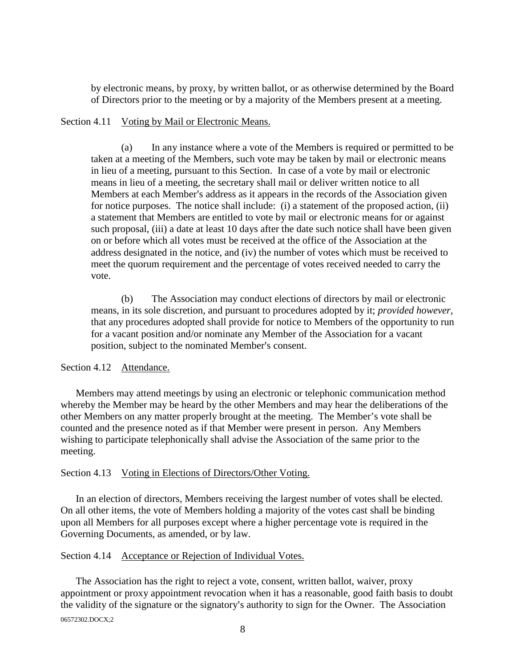by electronic means, by proxy, by written ballot, or as otherwise determined by the Board of Directors prior to the meeting or by a majority of the Members present at a meeting.

#### Section 4.11 Voting by Mail or Electronic Means.

(a) In any instance where a vote of the Members is required or permitted to be taken at a meeting of the Members, such vote may be taken by mail or electronic means in lieu of a meeting, pursuant to this Section. In case of a vote by mail or electronic means in lieu of a meeting, the secretary shall mail or deliver written notice to all Members at each Member's address as it appears in the records of the Association given for notice purposes. The notice shall include: (i) a statement of the proposed action, (ii) a statement that Members are entitled to vote by mail or electronic means for or against such proposal, (iii) a date at least 10 days after the date such notice shall have been given on or before which all votes must be received at the office of the Association at the address designated in the notice, and (iv) the number of votes which must be received to meet the quorum requirement and the percentage of votes received needed to carry the vote.

(b) The Association may conduct elections of directors by mail or electronic means, in its sole discretion, and pursuant to procedures adopted by it; *provided however,* that any procedures adopted shall provide for notice to Members of the opportunity to run for a vacant position and/or nominate any Member of the Association for a vacant position, subject to the nominated Member's consent.

## Section 4.12 Attendance.

Members may attend meetings by using an electronic or telephonic communication method whereby the Member may be heard by the other Members and may hear the deliberations of the other Members on any matter properly brought at the meeting. The Member's vote shall be counted and the presence noted as if that Member were present in person. Any Members wishing to participate telephonically shall advise the Association of the same prior to the meeting.

#### Section 4.13 Voting in Elections of Directors/Other Voting.

In an election of directors, Members receiving the largest number of votes shall be elected. On all other items, the vote of Members holding a majority of the votes cast shall be binding upon all Members for all purposes except where a higher percentage vote is required in the Governing Documents, as amended, or by law.

#### Section 4.14 Acceptance or Rejection of Individual Votes.

06572302.DOCX;2 The Association has the right to reject a vote, consent, written ballot, waiver, proxy appointment or proxy appointment revocation when it has a reasonable, good faith basis to doubt the validity of the signature or the signatory's authority to sign for the Owner. The Association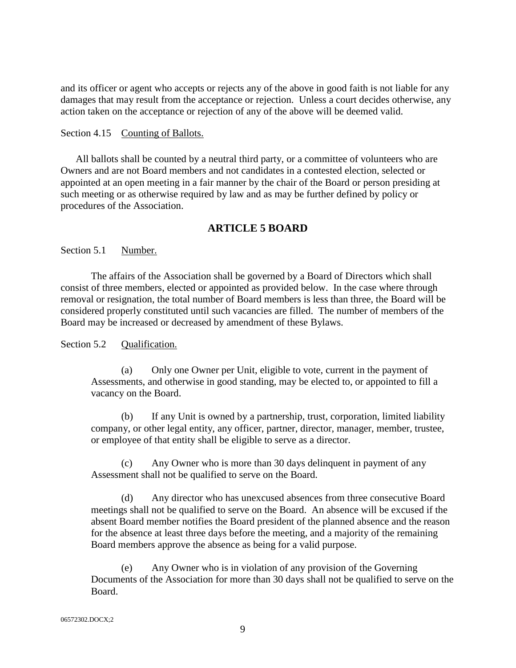and its officer or agent who accepts or rejects any of the above in good faith is not liable for any damages that may result from the acceptance or rejection. Unless a court decides otherwise, any action taken on the acceptance or rejection of any of the above will be deemed valid.

#### Section 4.15 Counting of Ballots.

All ballots shall be counted by a neutral third party, or a committee of volunteers who are Owners and are not Board members and not candidates in a contested election, selected or appointed at an open meeting in a fair manner by the chair of the Board or person presiding at such meeting or as otherwise required by law and as may be further defined by policy or procedures of the Association.

## **ARTICLE 5 BOARD**

Section 5.1 Number.

The affairs of the Association shall be governed by a Board of Directors which shall consist of three members, elected or appointed as provided below. In the case where through removal or resignation, the total number of Board members is less than three, the Board will be considered properly constituted until such vacancies are filled. The number of members of the Board may be increased or decreased by amendment of these Bylaws.

## Section 5.2 Oualification.

(a) Only one Owner per Unit, eligible to vote, current in the payment of Assessments, and otherwise in good standing, may be elected to, or appointed to fill a vacancy on the Board.

(b) If any Unit is owned by a partnership, trust, corporation, limited liability company, or other legal entity, any officer, partner, director, manager, member, trustee, or employee of that entity shall be eligible to serve as a director.

(c) Any Owner who is more than 30 days delinquent in payment of any Assessment shall not be qualified to serve on the Board.

(d) Any director who has unexcused absences from three consecutive Board meetings shall not be qualified to serve on the Board. An absence will be excused if the absent Board member notifies the Board president of the planned absence and the reason for the absence at least three days before the meeting, and a majority of the remaining Board members approve the absence as being for a valid purpose.

(e) Any Owner who is in violation of any provision of the Governing Documents of the Association for more than 30 days shall not be qualified to serve on the Board.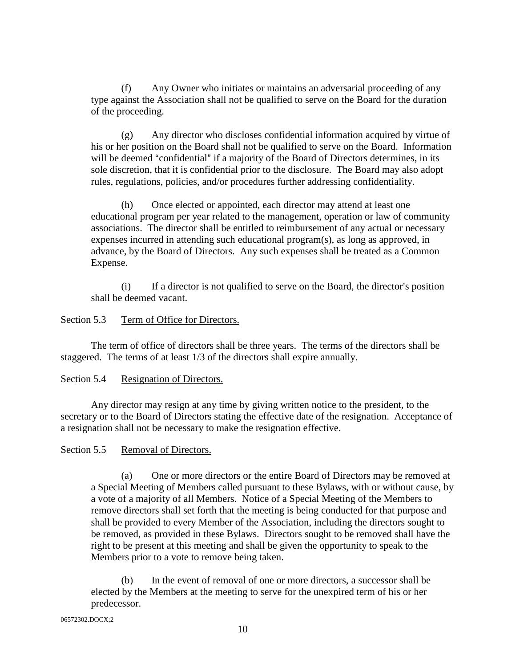(f) Any Owner who initiates or maintains an adversarial proceeding of any type against the Association shall not be qualified to serve on the Board for the duration of the proceeding.

(g) Any director who discloses confidential information acquired by virtue of his or her position on the Board shall not be qualified to serve on the Board. Information will be deemed "confidential" if a majority of the Board of Directors determines, in its sole discretion, that it is confidential prior to the disclosure. The Board may also adopt rules, regulations, policies, and/or procedures further addressing confidentiality.

(h) Once elected or appointed, each director may attend at least one educational program per year related to the management, operation or law of community associations. The director shall be entitled to reimbursement of any actual or necessary expenses incurred in attending such educational program(s), as long as approved, in advance, by the Board of Directors. Any such expenses shall be treated as a Common Expense.

 $(i)$  If a director is not qualified to serve on the Board, the director's position shall be deemed vacant.

## Section 5.3 Term of Office for Directors.

The term of office of directors shall be three years. The terms of the directors shall be staggered. The terms of at least 1/3 of the directors shall expire annually.

## Section 5.4 Resignation of Directors.

Any director may resign at any time by giving written notice to the president, to the secretary or to the Board of Directors stating the effective date of the resignation. Acceptance of a resignation shall not be necessary to make the resignation effective.

## Section 5.5 Removal of Directors.

(a) One or more directors or the entire Board of Directors may be removed at a Special Meeting of Members called pursuant to these Bylaws, with or without cause, by a vote of a majority of all Members. Notice of a Special Meeting of the Members to remove directors shall set forth that the meeting is being conducted for that purpose and shall be provided to every Member of the Association, including the directors sought to be removed, as provided in these Bylaws. Directors sought to be removed shall have the right to be present at this meeting and shall be given the opportunity to speak to the Members prior to a vote to remove being taken.

(b) In the event of removal of one or more directors, a successor shall be elected by the Members at the meeting to serve for the unexpired term of his or her predecessor.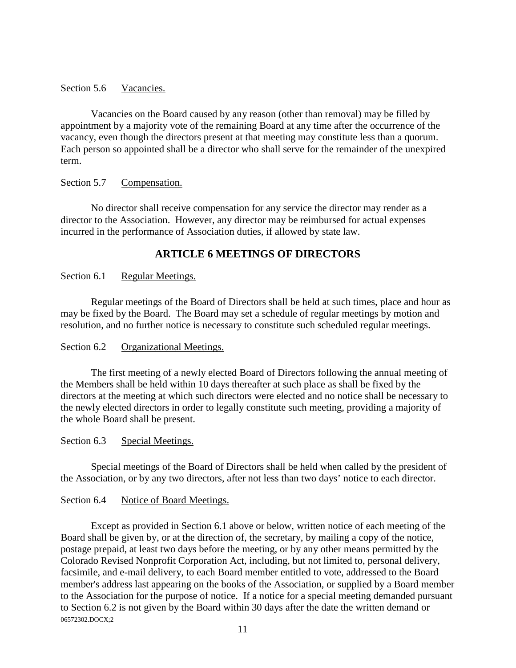## Section 5.6 Vacancies.

Vacancies on the Board caused by any reason (other than removal) may be filled by appointment by a majority vote of the remaining Board at any time after the occurrence of the vacancy, even though the directors present at that meeting may constitute less than a quorum. Each person so appointed shall be a director who shall serve for the remainder of the unexpired term.

#### Section 5.7 Compensation.

No director shall receive compensation for any service the director may render as a director to the Association. However, any director may be reimbursed for actual expenses incurred in the performance of Association duties, if allowed by state law.

# **ARTICLE 6 MEETINGS OF DIRECTORS**

## Section 6.1 Regular Meetings.

Regular meetings of the Board of Directors shall be held at such times, place and hour as may be fixed by the Board. The Board may set a schedule of regular meetings by motion and resolution, and no further notice is necessary to constitute such scheduled regular meetings.

## Section 6.2 Organizational Meetings.

The first meeting of a newly elected Board of Directors following the annual meeting of the Members shall be held within 10 days thereafter at such place as shall be fixed by the directors at the meeting at which such directors were elected and no notice shall be necessary to the newly elected directors in order to legally constitute such meeting, providing a majority of the whole Board shall be present.

#### Section 6.3 Special Meetings.

Special meetings of the Board of Directors shall be held when called by the president of the Association, or by any two directors, after not less than two days' notice to each director.

#### Section 6.4 Notice of Board Meetings.

06572302.DOCX;2 Except as provided in Section 6.1 above or below, written notice of each meeting of the Board shall be given by, or at the direction of, the secretary, by mailing a copy of the notice, postage prepaid, at least two days before the meeting, or by any other means permitted by the Colorado Revised Nonprofit Corporation Act, including, but not limited to, personal delivery, facsimile, and e-mail delivery, to each Board member entitled to vote, addressed to the Board member's address last appearing on the books of the Association, or supplied by a Board member to the Association for the purpose of notice. If a notice for a special meeting demanded pursuant to Section 6.2 is not given by the Board within 30 days after the date the written demand or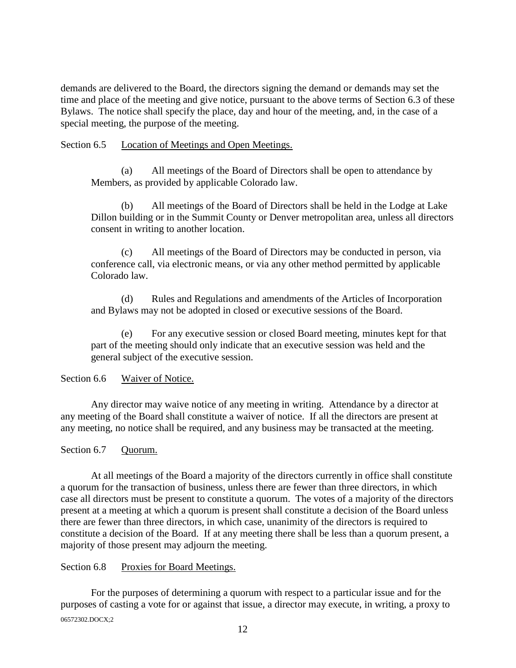demands are delivered to the Board, the directors signing the demand or demands may set the time and place of the meeting and give notice, pursuant to the above terms of Section 6.3 of these Bylaws. The notice shall specify the place, day and hour of the meeting, and, in the case of a special meeting, the purpose of the meeting.

## Section 6.5 Location of Meetings and Open Meetings.

(a) All meetings of the Board of Directors shall be open to attendance by Members, as provided by applicable Colorado law.

(b) All meetings of the Board of Directors shall be held in the Lodge at Lake Dillon building or in the Summit County or Denver metropolitan area, unless all directors consent in writing to another location.

(c) All meetings of the Board of Directors may be conducted in person, via conference call, via electronic means, or via any other method permitted by applicable Colorado law.

(d) Rules and Regulations and amendments of the Articles of Incorporation and Bylaws may not be adopted in closed or executive sessions of the Board.

(e) For any executive session or closed Board meeting, minutes kept for that part of the meeting should only indicate that an executive session was held and the general subject of the executive session.

## Section 6.6 Waiver of Notice.

Any director may waive notice of any meeting in writing. Attendance by a director at any meeting of the Board shall constitute a waiver of notice. If all the directors are present at any meeting, no notice shall be required, and any business may be transacted at the meeting.

# Section 6.7 Quorum.

At all meetings of the Board a majority of the directors currently in office shall constitute a quorum for the transaction of business, unless there are fewer than three directors, in which case all directors must be present to constitute a quorum. The votes of a majority of the directors present at a meeting at which a quorum is present shall constitute a decision of the Board unless there are fewer than three directors, in which case, unanimity of the directors is required to constitute a decision of the Board. If at any meeting there shall be less than a quorum present, a majority of those present may adjourn the meeting.

## Section 6.8 Proxies for Board Meetings.

06572302.DOCX;2 For the purposes of determining a quorum with respect to a particular issue and for the purposes of casting a vote for or against that issue, a director may execute, in writing, a proxy to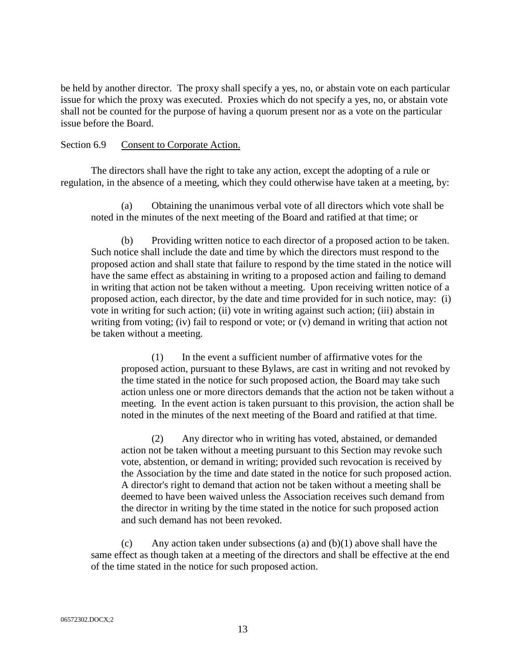be held by another director. The proxy shall specify a yes, no, or abstain vote on each particular issue for which the proxy was executed. Proxies which do not specify a yes, no, or abstain vote shall not be counted for the purpose of having a quorum present nor as a vote on the particular issue before the Board.

#### Section 6.9 Consent to Corporate Action.

The directors shall have the right to take any action, except the adopting of a rule or regulation, in the absence of a meeting, which they could otherwise have taken at a meeting, by:

(a) Obtaining the unanimous verbal vote of all directors which vote shall be noted in the minutes of the next meeting of the Board and ratified at that time; or

(b) Providing written notice to each director of a proposed action to be taken. Such notice shall include the date and time by which the directors must respond to the proposed action and shall state that failure to respond by the time stated in the notice will have the same effect as abstaining in writing to a proposed action and failing to demand in writing that action not be taken without a meeting. Upon receiving written notice of a proposed action, each director, by the date and time provided for in such notice, may: (i) vote in writing for such action; (ii) vote in writing against such action; (iii) abstain in writing from voting; (iv) fail to respond or vote; or (v) demand in writing that action not be taken without a meeting.

(1) In the event a sufficient number of affirmative votes for the proposed action, pursuant to these Bylaws, are cast in writing and not revoked by the time stated in the notice for such proposed action, the Board may take such action unless one or more directors demands that the action not be taken without a meeting. In the event action is taken pursuant to this provision, the action shall be noted in the minutes of the next meeting of the Board and ratified at that time.

(2) Any director who in writing has voted, abstained, or demanded action not be taken without a meeting pursuant to this Section may revoke such vote, abstention, or demand in writing; provided such revocation is received by the Association by the time and date stated in the notice for such proposed action. A director's right to demand that action not be taken without a meeting shall be deemed to have been waived unless the Association receives such demand from the director in writing by the time stated in the notice for such proposed action and such demand has not been revoked.

(c) Any action taken under subsections (a) and  $(b)(1)$  above shall have the same effect as though taken at a meeting of the directors and shall be effective at the end of the time stated in the notice for such proposed action.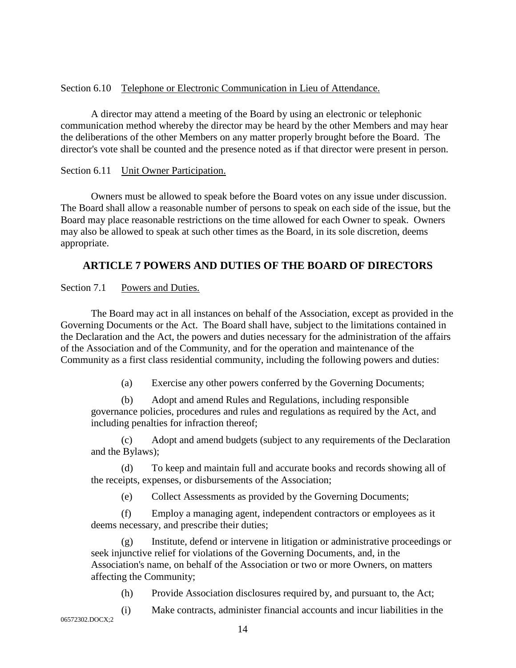## Section 6.10 Telephone or Electronic Communication in Lieu of Attendance.

A director may attend a meeting of the Board by using an electronic or telephonic communication method whereby the director may be heard by the other Members and may hear the deliberations of the other Members on any matter properly brought before the Board. The director's vote shall be counted and the presence noted as if that director were present in person.

## Section 6.11 Unit Owner Participation.

Owners must be allowed to speak before the Board votes on any issue under discussion. The Board shall allow a reasonable number of persons to speak on each side of the issue, but the Board may place reasonable restrictions on the time allowed for each Owner to speak. Owners may also be allowed to speak at such other times as the Board, in its sole discretion, deems appropriate.

# **ARTICLE 7 POWERS AND DUTIES OF THE BOARD OF DIRECTORS**

Section 7.1 Powers and Duties.

The Board may act in all instances on behalf of the Association, except as provided in the Governing Documents or the Act. The Board shall have, subject to the limitations contained in the Declaration and the Act, the powers and duties necessary for the administration of the affairs of the Association and of the Community, and for the operation and maintenance of the Community as a first class residential community, including the following powers and duties:

(a) Exercise any other powers conferred by the Governing Documents;

(b) Adopt and amend Rules and Regulations, including responsible governance policies, procedures and rules and regulations as required by the Act, and including penalties for infraction thereof;

(c) Adopt and amend budgets (subject to any requirements of the Declaration and the Bylaws);

(d) To keep and maintain full and accurate books and records showing all of the receipts, expenses, or disbursements of the Association;

(e) Collect Assessments as provided by the Governing Documents;

(f) Employ a managing agent, independent contractors or employees as it deems necessary, and prescribe their duties;

(g) Institute, defend or intervene in litigation or administrative proceedings or seek injunctive relief for violations of the Governing Documents, and, in the Association's name, on behalf of the Association or two or more Owners, on matters affecting the Community;

(h) Provide Association disclosures required by, and pursuant to, the Act;

(i) Make contracts, administer financial accounts and incur liabilities in the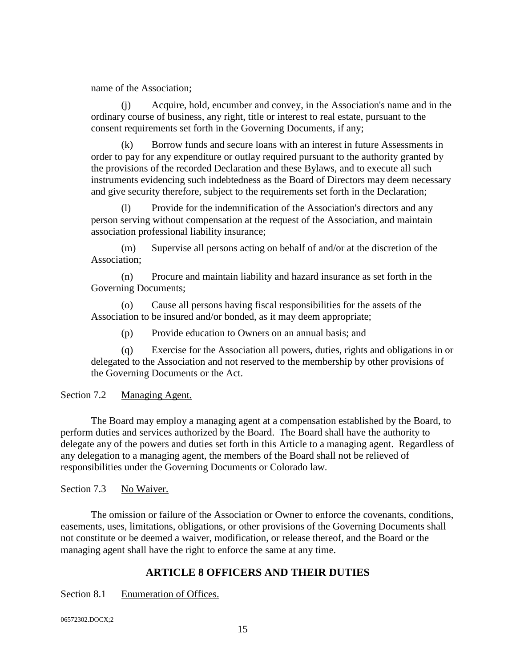name of the Association;

(j) Acquire, hold, encumber and convey, in the Association's name and in the ordinary course of business, any right, title or interest to real estate, pursuant to the consent requirements set forth in the Governing Documents, if any;

(k) Borrow funds and secure loans with an interest in future Assessments in order to pay for any expenditure or outlay required pursuant to the authority granted by the provisions of the recorded Declaration and these Bylaws, and to execute all such instruments evidencing such indebtedness as the Board of Directors may deem necessary and give security therefore, subject to the requirements set forth in the Declaration;

(l) Provide for the indemnification of the Association's directors and any person serving without compensation at the request of the Association, and maintain association professional liability insurance;

(m) Supervise all persons acting on behalf of and/or at the discretion of the Association;

(n) Procure and maintain liability and hazard insurance as set forth in the Governing Documents;

(o) Cause all persons having fiscal responsibilities for the assets of the Association to be insured and/or bonded, as it may deem appropriate;

(p) Provide education to Owners on an annual basis; and

(q) Exercise for the Association all powers, duties, rights and obligations in or delegated to the Association and not reserved to the membership by other provisions of the Governing Documents or the Act.

Section 7.2 Managing Agent.

The Board may employ a managing agent at a compensation established by the Board, to perform duties and services authorized by the Board. The Board shall have the authority to delegate any of the powers and duties set forth in this Article to a managing agent. Regardless of any delegation to a managing agent, the members of the Board shall not be relieved of responsibilities under the Governing Documents or Colorado law.

Section 7.3 No Waiver.

The omission or failure of the Association or Owner to enforce the covenants, conditions, easements, uses, limitations, obligations, or other provisions of the Governing Documents shall not constitute or be deemed a waiver, modification, or release thereof, and the Board or the managing agent shall have the right to enforce the same at any time.

# **ARTICLE 8 OFFICERS AND THEIR DUTIES**

Section 8.1 Enumeration of Offices.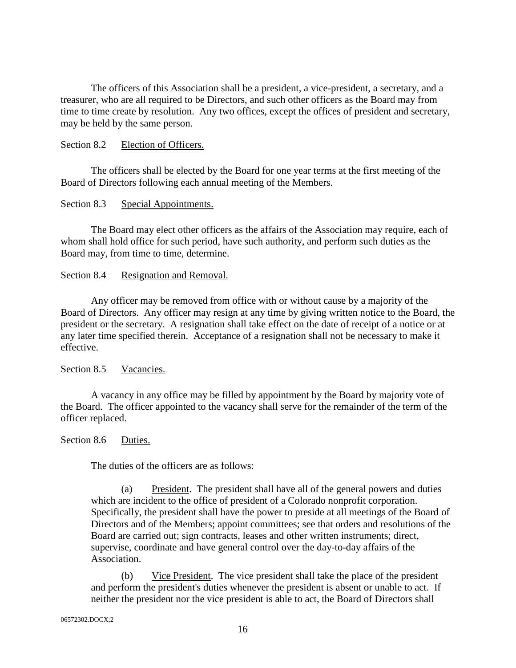The officers of this Association shall be a president, a vice-president, a secretary, and a treasurer, who are all required to be Directors, and such other officers as the Board may from time to time create by resolution. Any two offices, except the offices of president and secretary, may be held by the same person.

#### Section 8.2 Election of Officers.

The officers shall be elected by the Board for one year terms at the first meeting of the Board of Directors following each annual meeting of the Members.

#### Section 8.3 Special Appointments.

The Board may elect other officers as the affairs of the Association may require, each of whom shall hold office for such period, have such authority, and perform such duties as the Board may, from time to time, determine.

#### Section 8.4 Resignation and Removal.

Any officer may be removed from office with or without cause by a majority of the Board of Directors. Any officer may resign at any time by giving written notice to the Board, the president or the secretary. A resignation shall take effect on the date of receipt of a notice or at any later time specified therein. Acceptance of a resignation shall not be necessary to make it effective.

Section 8.5 Vacancies.

A vacancy in any office may be filled by appointment by the Board by majority vote of the Board. The officer appointed to the vacancy shall serve for the remainder of the term of the officer replaced.

#### Section 8.6 Duties.

The duties of the officers are as follows:

(a) President. The president shall have all of the general powers and duties which are incident to the office of president of a Colorado nonprofit corporation. Specifically, the president shall have the power to preside at all meetings of the Board of Directors and of the Members; appoint committees; see that orders and resolutions of the Board are carried out; sign contracts, leases and other written instruments; direct, supervise, coordinate and have general control over the day-to-day affairs of the Association.

(b) Vice President. The vice president shall take the place of the president and perform the president's duties whenever the president is absent or unable to act. If neither the president nor the vice president is able to act, the Board of Directors shall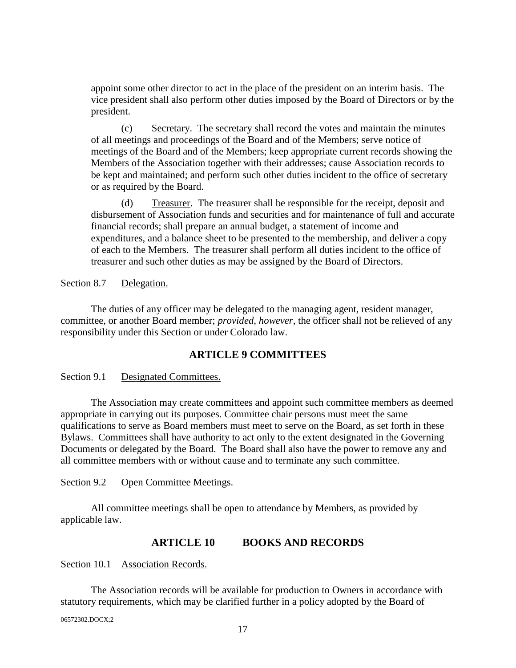appoint some other director to act in the place of the president on an interim basis. The vice president shall also perform other duties imposed by the Board of Directors or by the president.

(c) Secretary. The secretary shall record the votes and maintain the minutes of all meetings and proceedings of the Board and of the Members; serve notice of meetings of the Board and of the Members; keep appropriate current records showing the Members of the Association together with their addresses; cause Association records to be kept and maintained; and perform such other duties incident to the office of secretary or as required by the Board.

(d) Treasurer. The treasurer shall be responsible for the receipt, deposit and disbursement of Association funds and securities and for maintenance of full and accurate financial records; shall prepare an annual budget, a statement of income and expenditures, and a balance sheet to be presented to the membership, and deliver a copy of each to the Members. The treasurer shall perform all duties incident to the office of treasurer and such other duties as may be assigned by the Board of Directors.

Section 8.7 Delegation.

The duties of any officer may be delegated to the managing agent, resident manager, committee, or another Board member; *provided, however,* the officer shall not be relieved of any responsibility under this Section or under Colorado law.

# **ARTICLE 9 COMMITTEES**

Section 9.1 Designated Committees.

The Association may create committees and appoint such committee members as deemed appropriate in carrying out its purposes. Committee chair persons must meet the same qualifications to serve as Board members must meet to serve on the Board, as set forth in these Bylaws. Committees shall have authority to act only to the extent designated in the Governing Documents or delegated by the Board. The Board shall also have the power to remove any and all committee members with or without cause and to terminate any such committee.

Section 9.2 Open Committee Meetings.

All committee meetings shall be open to attendance by Members, as provided by applicable law.

## **ARTICLE 10 BOOKS AND RECORDS**

Section 10.1 Association Records.

The Association records will be available for production to Owners in accordance with statutory requirements, which may be clarified further in a policy adopted by the Board of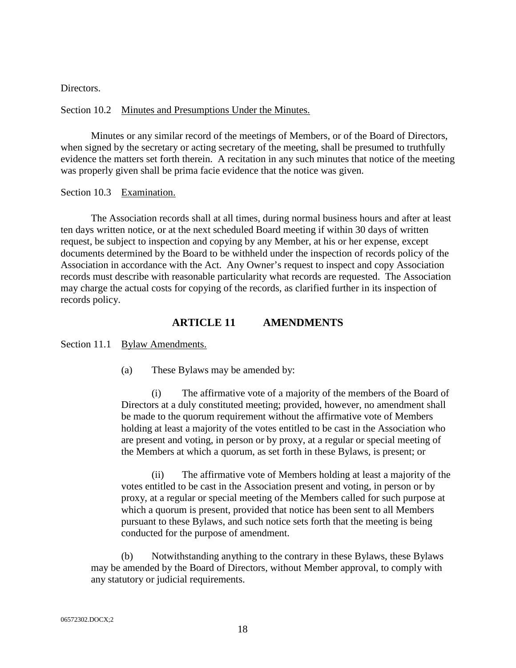Directors.

#### Section 10.2 Minutes and Presumptions Under the Minutes.

Minutes or any similar record of the meetings of Members, or of the Board of Directors, when signed by the secretary or acting secretary of the meeting, shall be presumed to truthfully evidence the matters set forth therein. A recitation in any such minutes that notice of the meeting was properly given shall be prima facie evidence that the notice was given.

Section 10.3 Examination.

The Association records shall at all times, during normal business hours and after at least ten days written notice, or at the next scheduled Board meeting if within 30 days of written request, be subject to inspection and copying by any Member, at his or her expense, except documents determined by the Board to be withheld under the inspection of records policy of the Association in accordance with the Act. Any Owner's request to inspect and copy Association records must describe with reasonable particularity what records are requested. The Association may charge the actual costs for copying of the records, as clarified further in its inspection of records policy.

#### **ARTICLE 11 AMENDMENTS**

Section 11.1 Bylaw Amendments.

(a) These Bylaws may be amended by:

(i) The affirmative vote of a majority of the members of the Board of Directors at a duly constituted meeting; provided, however, no amendment shall be made to the quorum requirement without the affirmative vote of Members holding at least a majority of the votes entitled to be cast in the Association who are present and voting, in person or by proxy, at a regular or special meeting of the Members at which a quorum, as set forth in these Bylaws, is present; or

(ii) The affirmative vote of Members holding at least a majority of the votes entitled to be cast in the Association present and voting, in person or by proxy, at a regular or special meeting of the Members called for such purpose at which a quorum is present, provided that notice has been sent to all Members pursuant to these Bylaws, and such notice sets forth that the meeting is being conducted for the purpose of amendment.

(b) Notwithstanding anything to the contrary in these Bylaws, these Bylaws may be amended by the Board of Directors, without Member approval, to comply with any statutory or judicial requirements.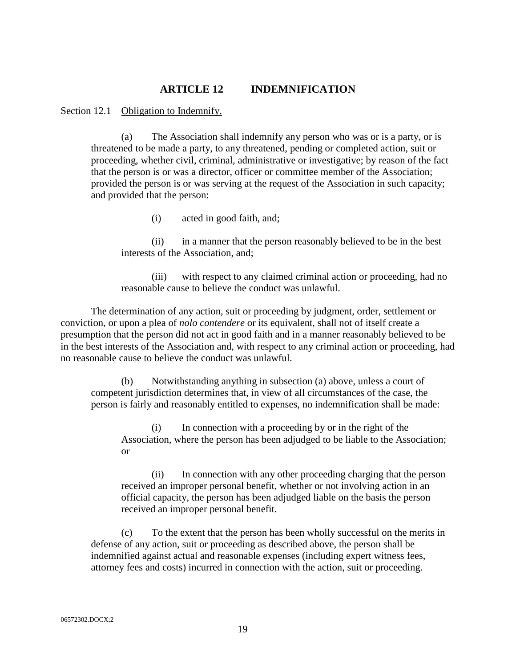## **ARTICLE 12 INDEMNIFICATION**

Section 12.1 Obligation to Indemnify.

(a) The Association shall indemnify any person who was or is a party, or is threatened to be made a party, to any threatened, pending or completed action, suit or proceeding, whether civil, criminal, administrative or investigative; by reason of the fact that the person is or was a director, officer or committee member of the Association; provided the person is or was serving at the request of the Association in such capacity; and provided that the person:

(i) acted in good faith, and;

(ii) in a manner that the person reasonably believed to be in the best interests of the Association, and;

(iii) with respect to any claimed criminal action or proceeding, had no reasonable cause to believe the conduct was unlawful.

The determination of any action, suit or proceeding by judgment, order, settlement or conviction, or upon a plea of *nolo contendere* or its equivalent, shall not of itself create a presumption that the person did not act in good faith and in a manner reasonably believed to be in the best interests of the Association and, with respect to any criminal action or proceeding, had no reasonable cause to believe the conduct was unlawful.

(b) Notwithstanding anything in subsection (a) above, unless a court of competent jurisdiction determines that, in view of all circumstances of the case, the person is fairly and reasonably entitled to expenses, no indemnification shall be made:

(i) In connection with a proceeding by or in the right of the Association, where the person has been adjudged to be liable to the Association; or

(ii) In connection with any other proceeding charging that the person received an improper personal benefit, whether or not involving action in an official capacity, the person has been adjudged liable on the basis the person received an improper personal benefit.

(c) To the extent that the person has been wholly successful on the merits in defense of any action, suit or proceeding as described above, the person shall be indemnified against actual and reasonable expenses (including expert witness fees, attorney fees and costs) incurred in connection with the action, suit or proceeding.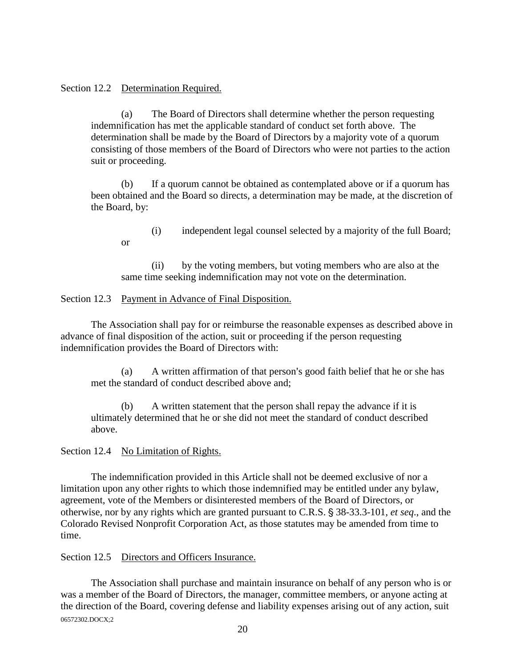#### Section 12.2 Determination Required.

or

(a) The Board of Directors shall determine whether the person requesting indemnification has met the applicable standard of conduct set forth above. The determination shall be made by the Board of Directors by a majority vote of a quorum consisting of those members of the Board of Directors who were not parties to the action suit or proceeding.

(b) If a quorum cannot be obtained as contemplated above or if a quorum has been obtained and the Board so directs, a determination may be made, at the discretion of the Board, by:

(i) independent legal counsel selected by a majority of the full Board;

(ii) by the voting members, but voting members who are also at the same time seeking indemnification may not vote on the determination.

#### Section 12.3 Payment in Advance of Final Disposition.

The Association shall pay for or reimburse the reasonable expenses as described above in advance of final disposition of the action, suit or proceeding if the person requesting indemnification provides the Board of Directors with:

(a) A written affirmation of that person's good faith belief that he or she has met the standard of conduct described above and;

A written statement that the person shall repay the advance if it is ultimately determined that he or she did not meet the standard of conduct described above.

Section 12.4 No Limitation of Rights.

The indemnification provided in this Article shall not be deemed exclusive of nor a limitation upon any other rights to which those indemnified may be entitled under any bylaw, agreement, vote of the Members or disinterested members of the Board of Directors, or otherwise, nor by any rights which are granted pursuant to C.R.S. § 38-33.3-101, *et seq.*, and the Colorado Revised Nonprofit Corporation Act, as those statutes may be amended from time to time.

## Section 12.5 Directors and Officers Insurance.

06572302.DOCX;2 The Association shall purchase and maintain insurance on behalf of any person who is or was a member of the Board of Directors, the manager, committee members, or anyone acting at the direction of the Board, covering defense and liability expenses arising out of any action, suit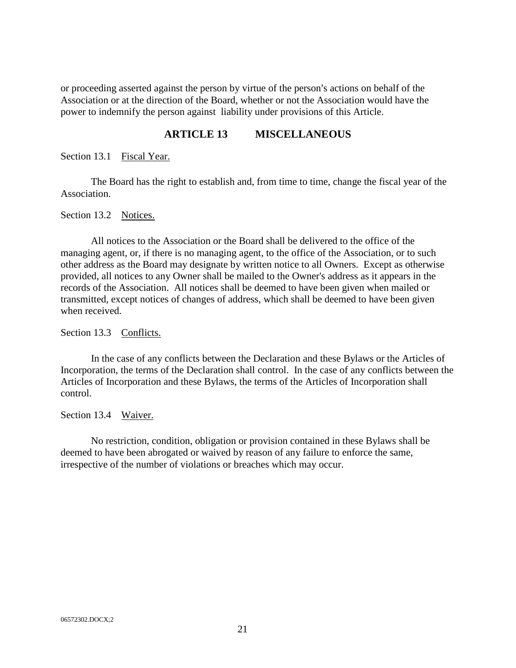or proceeding asserted against the person by virtue of the person's actions on behalf of the Association or at the direction of the Board, whether or not the Association would have the power to indemnify the person against liability under provisions of this Article.

## **ARTICLE 13 MISCELLANEOUS**

Section 13.1 Fiscal Year.

The Board has the right to establish and, from time to time, change the fiscal year of the Association.

Section 13.2 Notices.

All notices to the Association or the Board shall be delivered to the office of the managing agent, or, if there is no managing agent, to the office of the Association, or to such other address as the Board may designate by written notice to all Owners. Except as otherwise provided, all notices to any Owner shall be mailed to the Owner's address as it appears in the records of the Association. All notices shall be deemed to have been given when mailed or transmitted, except notices of changes of address, which shall be deemed to have been given when received.

Section 13.3 Conflicts.

In the case of any conflicts between the Declaration and these Bylaws or the Articles of Incorporation, the terms of the Declaration shall control. In the case of any conflicts between the Articles of Incorporation and these Bylaws, the terms of the Articles of Incorporation shall control.

Section 13.4 Waiver.

No restriction, condition, obligation or provision contained in these Bylaws shall be deemed to have been abrogated or waived by reason of any failure to enforce the same, irrespective of the number of violations or breaches which may occur.